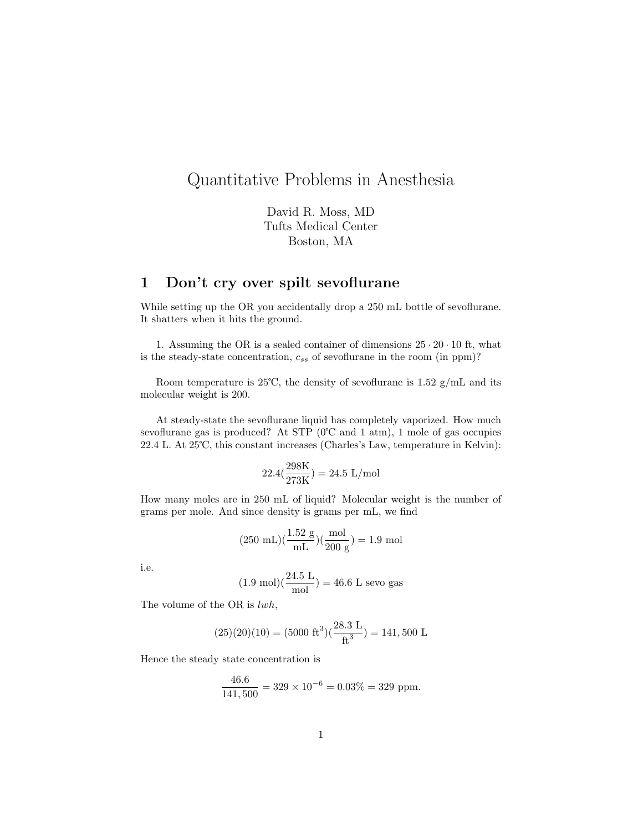# Quantitative Problems in Anesthesia

David R. Moss, MD Tufts Medical Center Boston, MA

# 1 Don't cry over spilt sevoflurane

While setting up the OR you accidentally drop a 250 mL bottle of sevoflurane. It shatters when it hits the ground.

1. Assuming the OR is a sealed container of dimensions  $25 \cdot 20 \cdot 10$  ft, what is the steady-state concentration,  $c_{ss}$  of sevoflurane in the room (in ppm)?

Room temperature is 25°C, the density of sevoflurane is  $1.52 \text{ g/mL}$  and its molecular weight is 200.

At steady-state the sevoflurane liquid has completely vaporized. How much sevoflurane gas is produced? At STP (0℃ and 1 atm), 1 mole of gas occupies 22.4 L. At 25℃, this constant increases (Charles's Law, temperature in Kelvin):

$$
22.4\left(\frac{298 \text{K}}{273 \text{K}}\right) = 24.5 \text{ L/mol}
$$

How many moles are in 250 mL of liquid? Molecular weight is the number of grams per mole. And since density is grams per mL, we find

$$
(250 \text{ mL})(\frac{1.52 \text{ g}}{\text{mL}})(\frac{\text{mol}}{200 \text{ g}}) = 1.9 \text{ mol}
$$

i.e.

$$
(1.9 \text{ mol})(\frac{24.5 \text{ L}}{\text{mol}}) = 46.6 \text{ L sevo gas}
$$

The volume of the OR is lwh,

$$
(25)(20)(10) = (5000 \text{ ft}^3)(\frac{28.3 \text{ L}}{\text{ft}^3}) = 141,500 \text{ L}
$$

Hence the steady state concentration is

46.6

$$
\frac{46.6}{141,500} = 329 \times 10^{-6} = 0.03\% = 329
$$
 ppm.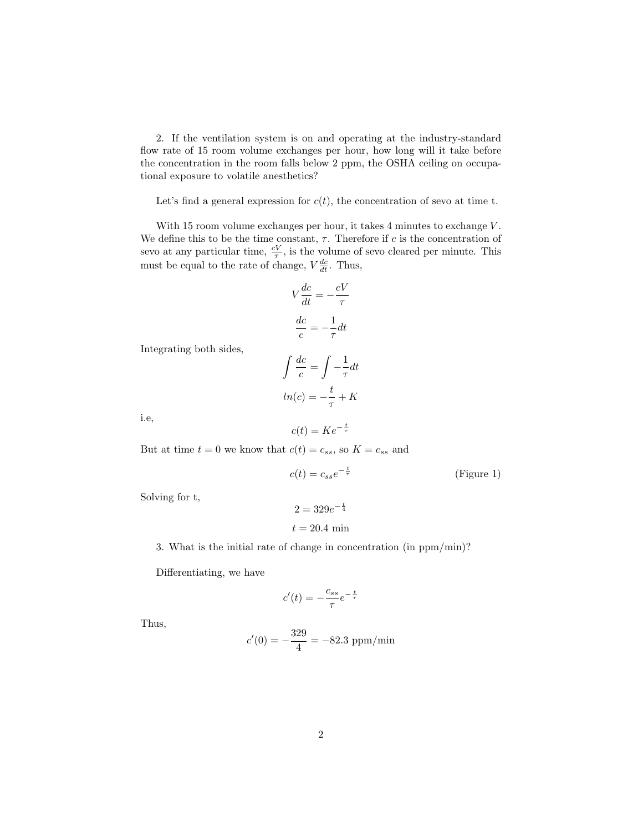2. If the ventilation system is on and operating at the industry-standard flow rate of 15 room volume exchanges per hour, how long will it take before the concentration in the room falls below 2 ppm, the OSHA ceiling on occupational exposure to volatile anesthetics?

Let's find a general expression for  $c(t)$ , the concentration of sevo at time t.

With 15 room volume exchanges per hour, it takes 4 minutes to exchange V. We define this to be the time constant,  $\tau$ . Therefore if c is the concentration of sevo at any particular time,  $\frac{cV}{\tau}$ , is the volume of sevo cleared per minute. This must be equal to the rate of change,  $V \frac{dc}{dt}$ . Thus,

$$
V\frac{dc}{dt} = -\frac{cV}{\tau}
$$

$$
\frac{dc}{c} = -\frac{1}{\tau}dt
$$

Integrating both sides,

$$
\int \frac{dc}{c} = \int -\frac{1}{\tau} dt
$$

$$
ln(c) = -\frac{t}{\tau} + K
$$

i.e,

$$
c(t) = Ke^{-\frac{t}{\tau}}
$$

But at time  $t = 0$  we know that  $c(t) = c_{ss}$ , so  $K = c_{ss}$  and

$$
c(t) = c_{ss}e^{-\frac{t}{\tau}}
$$
 (Figure 1)

Solving for t,

$$
2 = 329e^{-\frac{t}{4}}
$$
  

$$
t = 20.4 \text{ min}
$$

3. What is the initial rate of change in concentration (in ppm/min)?

Differentiating, we have

$$
c'(t)=-\frac{c_{ss}}{\tau}e^{-\frac{t}{\tau}}
$$

Thus,

$$
c'(0) = -\frac{329}{4} = -82.3 \text{ ppm/min}
$$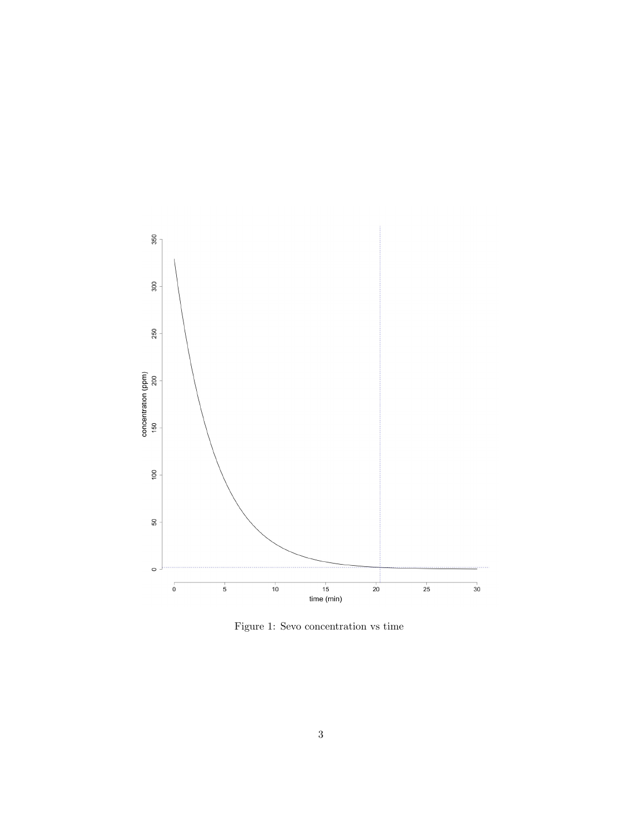

Figure 1: Sevo concentration vs time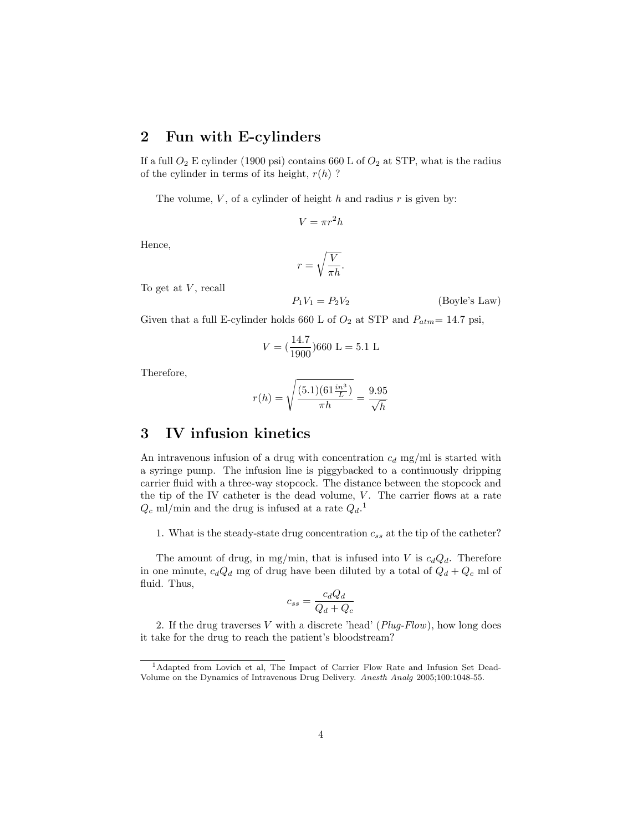### 2 Fun with E-cylinders

If a full  $O_2$  E cylinder (1900 psi) contains 660 L of  $O_2$  at STP, what is the radius of the cylinder in terms of its height,  $r(h)$ ?

The volume,  $V$ , of a cylinder of height  $h$  and radius  $r$  is given by:

$$
V = \pi r^2 h
$$

Hence,

$$
r = \sqrt{\frac{V}{\pi h}}.
$$

To get at  $V$ , recall

$$
P_1 V_1 = P_2 V_2 \tag{Boyle's Law}
$$

Given that a full E-cylinder holds 660 L of  $O_2$  at STP and  $P_{atm}= 14.7$  psi,

$$
V = \left(\frac{14.7}{1900}\right)660 \text{ L} = 5.1 \text{ L}
$$

Therefore,

$$
r(h) = \sqrt{\frac{(5.1)(61\frac{in3}{L})}{\pi h}} = \frac{9.95}{\sqrt{h}}
$$

# 3 IV infusion kinetics

An intravenous infusion of a drug with concentration  $c_d$  mg/ml is started with a syringe pump. The infusion line is piggybacked to a continuously dripping carrier fluid with a three-way stopcock. The distance between the stopcock and the tip of the IV catheter is the dead volume,  $V$ . The carrier flows at a rate  $Q_c$  ml/min and the drug is infused at a rate  $Q_d$ <sup>1</sup>.

1. What is the steady-state drug concentration  $c_{ss}$  at the tip of the catheter?

The amount of drug, in mg/min, that is infused into V is  $c_dQ_d$ . Therefore in one minute,  $c_dQ_d$  mg of drug have been diluted by a total of  $Q_d + Q_c$  ml of fluid. Thus,

$$
c_{ss} = \frac{c_d Q_d}{Q_d + Q_c}
$$

2. If the drug traverses V with a discrete 'head'  $(Plug-Flow)$ , how long does it take for the drug to reach the patient's bloodstream?

<sup>1</sup>Adapted from Lovich et al, The Impact of Carrier Flow Rate and Infusion Set Dead-Volume on the Dynamics of Intravenous Drug Delivery. Anesth Analg 2005;100:1048-55.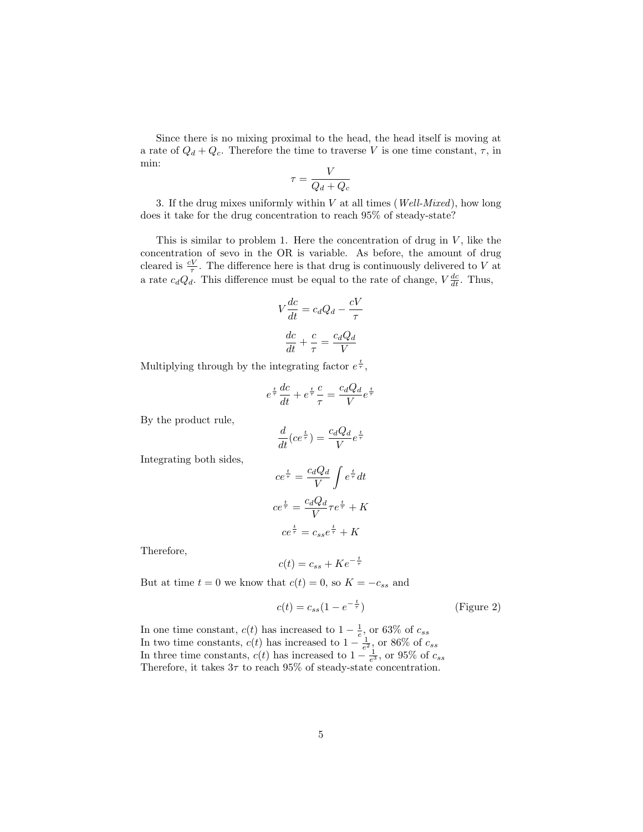Since there is no mixing proximal to the head, the head itself is moving at a rate of  $Q_d + Q_c$ . Therefore the time to traverse V is one time constant,  $\tau$ , in min:

$$
\tau = \frac{V}{Q_d + Q_c}
$$

3. If the drug mixes uniformly within  $V$  at all times (*Well-Mixed*), how long does it take for the drug concentration to reach 95% of steady-state?

This is similar to problem 1. Here the concentration of drug in  $V$ , like the concentration of sevo in the OR is variable. As before, the amount of drug cleared is  $\frac{cV}{\tau}$ . The difference here is that drug is continuously delivered to V at a rate  $c_d Q_d$ . This difference must be equal to the rate of change,  $V \frac{dc}{dt}$ . Thus,

$$
V\frac{dc}{dt} = c_dQ_d - \frac{cV}{\tau}
$$

$$
\frac{dc}{dt} + \frac{c}{\tau} = \frac{c_dQ_d}{V}
$$

Multiplying through by the integrating factor  $e^{\frac{t}{\tau}}$ ,

$$
e^{\frac{t}{\tau}}\frac{dc}{dt} + e^{\frac{t}{\tau}}\frac{c}{\tau} = \frac{c_d Q_d}{V}e^{\frac{t}{\tau}}
$$

By the product rule,

$$
\frac{d}{dt}(ce^{\frac{t}{\tau}}) = \frac{c_d Q_d}{V}e^{\frac{t}{\tau}}
$$

Integrating both sides,

$$
ce^{\frac{t}{\tau}} = \frac{c_d Q_d}{V} \int e^{\frac{t}{\tau}} dt
$$

$$
ce^{\frac{t}{\tau}} = \frac{c_d Q_d}{V} \tau e^{\frac{t}{\tau}} + K
$$

$$
ce^{\frac{t}{\tau}} = c_{ss} e^{\frac{t}{\tau}} + K
$$

Therefore,

$$
c(t) = c_{ss} + Ke^{-\frac{t}{\tau}}
$$

But at time  $t = 0$  we know that  $c(t) = 0$ , so  $K = -c_{ss}$  and

$$
c(t) = c_{ss}(1 - e^{-\frac{t}{\tau}})
$$
 (Figure 2)

In one time constant,  $c(t)$  has increased to  $1-\frac{1}{e}$ , or 63% of  $c_{ss}$ In two time constants,  $c(t)$  has increased to  $1 - \frac{1}{e^2}$ , or 86% of  $c_{ss}$ In three time constants,  $c(t)$  has increased to  $1 - \frac{1}{e^3}$ , or 95% of  $c_{ss}$ Therefore, it takes  $3\tau$  to reach  $95\%$  of steady-state concentration.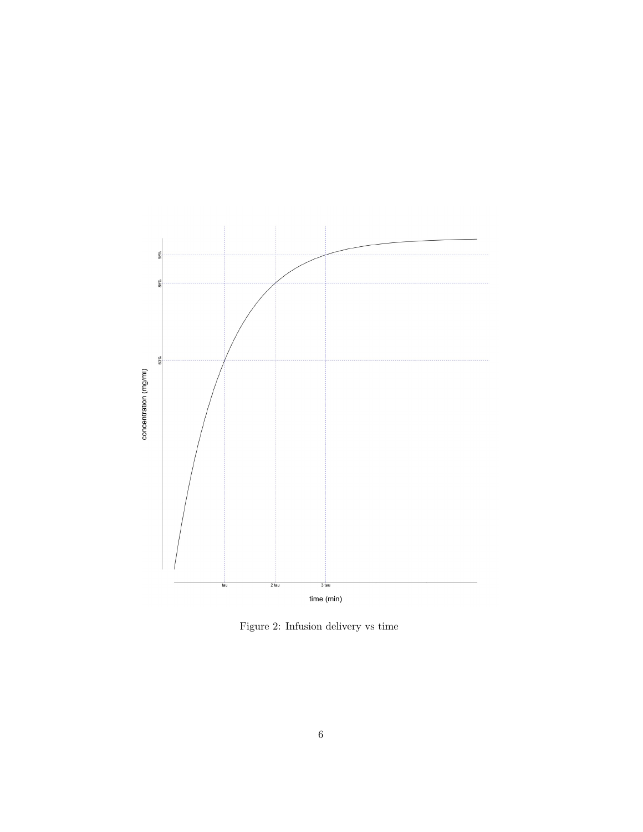

Figure 2: Infusion delivery vs time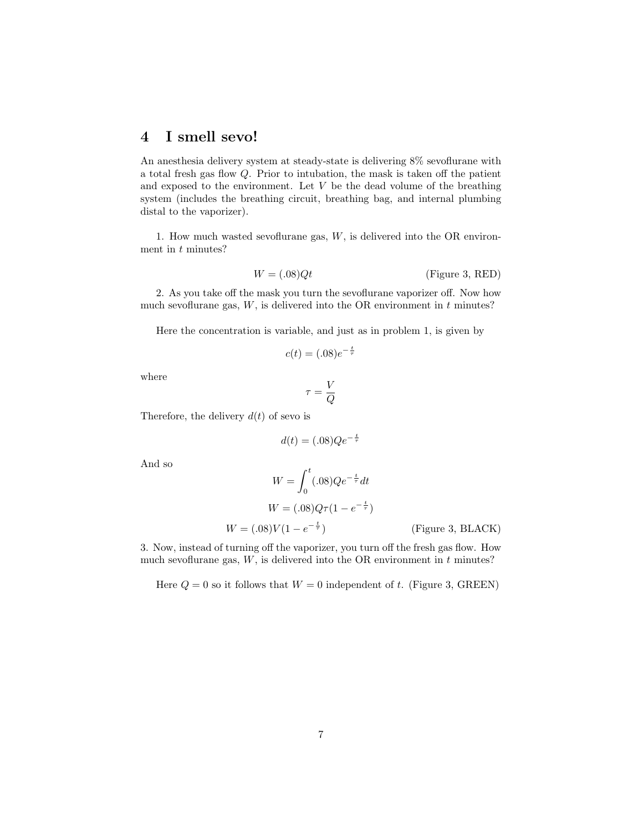#### 4 I smell sevo!

An anesthesia delivery system at steady-state is delivering 8% sevoflurane with a total fresh gas flow Q. Prior to intubation, the mask is taken off the patient and exposed to the environment. Let  $V$  be the dead volume of the breathing system (includes the breathing circuit, breathing bag, and internal plumbing distal to the vaporizer).

1. How much wasted sevoflurane gas,  $W$ , is delivered into the OR environment in  $t$  minutes?

$$
W = (.08)Qt
$$
 (Figure 3, RED)

2. As you take off the mask you turn the sevoflurane vaporizer off. Now how much sevoflurane gas,  $W$ , is delivered into the OR environment in  $t$  minutes?

Here the concentration is variable, and just as in problem 1, is given by

$$
c(t) = (.08)e^{-\frac{t}{\tau}}
$$

where

$$
\tau = \frac{V}{Q}
$$

Therefore, the delivery  $d(t)$  of sevo is

$$
d(t) = (.08)Qe^{-\frac{t}{\tau}}
$$

And so

$$
W = \int_0^t (.08)Qe^{-\frac{t}{\tau}}dt
$$
  

$$
W = (.08)Q\tau(1 - e^{-\frac{t}{\tau}})
$$
  

$$
W = (.08)V(1 - e^{-\frac{t}{\tau}})
$$
 (Figure 3, BLACK)

3. Now, instead of turning off the vaporizer, you turn off the fresh gas flow. How much sevoflurane gas,  $W$ , is delivered into the OR environment in  $t$  minutes?

Here  $Q = 0$  so it follows that  $W = 0$  independent of t. (Figure 3, GREEN)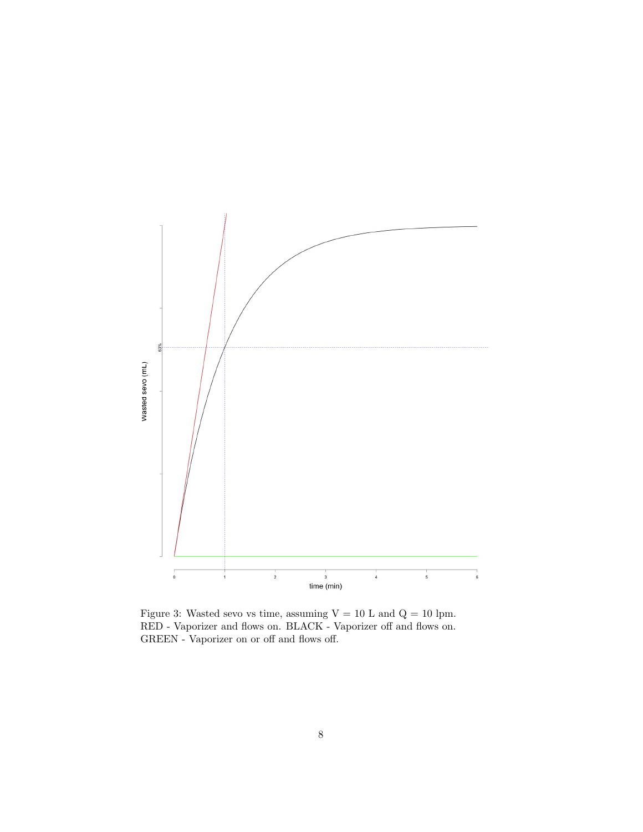

Figure 3: Wasted sevo vs time, assuming  $V = 10$  L and  $Q = 10$  lpm. RED - Vaporizer and flows on. BLACK - Vaporizer off and flows on. GREEN - Vaporizer on or off and flows off.